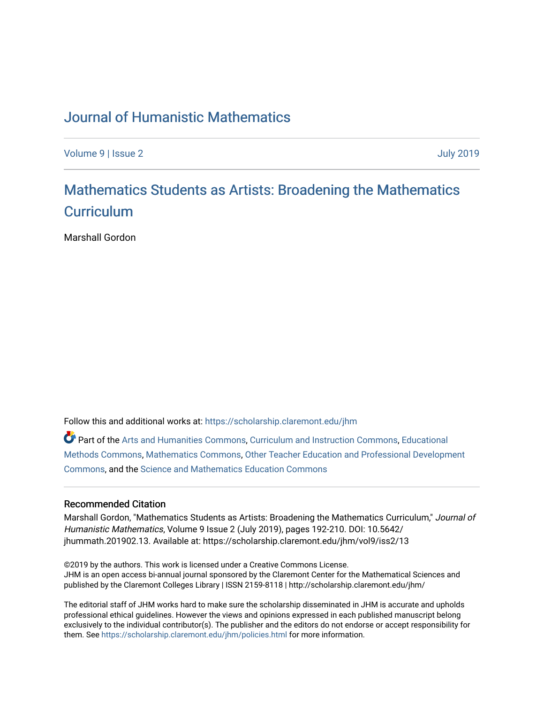## [Journal of Humanistic Mathematics](https://scholarship.claremont.edu/jhm)

[Volume 9](https://scholarship.claremont.edu/jhm/vol9) | [Issue 2](https://scholarship.claremont.edu/jhm/vol9/iss2) [July 2019](https://scholarship.claremont.edu/jhm/vol9/iss2) 

# [Mathematics Students as Artists: Broadening the Mathematics](https://scholarship.claremont.edu/jhm/vol9/iss2/13)  **Curriculum**

Marshall Gordon

Follow this and additional works at: [https://scholarship.claremont.edu/jhm](https://scholarship.claremont.edu/jhm?utm_source=scholarship.claremont.edu%2Fjhm%2Fvol9%2Fiss2%2F13&utm_medium=PDF&utm_campaign=PDFCoverPages)

Part of the [Arts and Humanities Commons,](http://network.bepress.com/hgg/discipline/438?utm_source=scholarship.claremont.edu%2Fjhm%2Fvol9%2Fiss2%2F13&utm_medium=PDF&utm_campaign=PDFCoverPages) [Curriculum and Instruction Commons,](http://network.bepress.com/hgg/discipline/786?utm_source=scholarship.claremont.edu%2Fjhm%2Fvol9%2Fiss2%2F13&utm_medium=PDF&utm_campaign=PDFCoverPages) [Educational](http://network.bepress.com/hgg/discipline/1227?utm_source=scholarship.claremont.edu%2Fjhm%2Fvol9%2Fiss2%2F13&utm_medium=PDF&utm_campaign=PDFCoverPages) [Methods Commons,](http://network.bepress.com/hgg/discipline/1227?utm_source=scholarship.claremont.edu%2Fjhm%2Fvol9%2Fiss2%2F13&utm_medium=PDF&utm_campaign=PDFCoverPages) [Mathematics Commons](http://network.bepress.com/hgg/discipline/174?utm_source=scholarship.claremont.edu%2Fjhm%2Fvol9%2Fiss2%2F13&utm_medium=PDF&utm_campaign=PDFCoverPages), [Other Teacher Education and Professional Development](http://network.bepress.com/hgg/discipline/810?utm_source=scholarship.claremont.edu%2Fjhm%2Fvol9%2Fiss2%2F13&utm_medium=PDF&utm_campaign=PDFCoverPages) [Commons](http://network.bepress.com/hgg/discipline/810?utm_source=scholarship.claremont.edu%2Fjhm%2Fvol9%2Fiss2%2F13&utm_medium=PDF&utm_campaign=PDFCoverPages), and the [Science and Mathematics Education Commons](http://network.bepress.com/hgg/discipline/800?utm_source=scholarship.claremont.edu%2Fjhm%2Fvol9%2Fiss2%2F13&utm_medium=PDF&utm_campaign=PDFCoverPages) 

### Recommended Citation

Marshall Gordon, "Mathematics Students as Artists: Broadening the Mathematics Curriculum," Journal of Humanistic Mathematics, Volume 9 Issue 2 (July 2019), pages 192-210. DOI: 10.5642/ jhummath.201902.13. Available at: https://scholarship.claremont.edu/jhm/vol9/iss2/13

©2019 by the authors. This work is licensed under a Creative Commons License. JHM is an open access bi-annual journal sponsored by the Claremont Center for the Mathematical Sciences and published by the Claremont Colleges Library | ISSN 2159-8118 | http://scholarship.claremont.edu/jhm/

The editorial staff of JHM works hard to make sure the scholarship disseminated in JHM is accurate and upholds professional ethical guidelines. However the views and opinions expressed in each published manuscript belong exclusively to the individual contributor(s). The publisher and the editors do not endorse or accept responsibility for them. See<https://scholarship.claremont.edu/jhm/policies.html> for more information.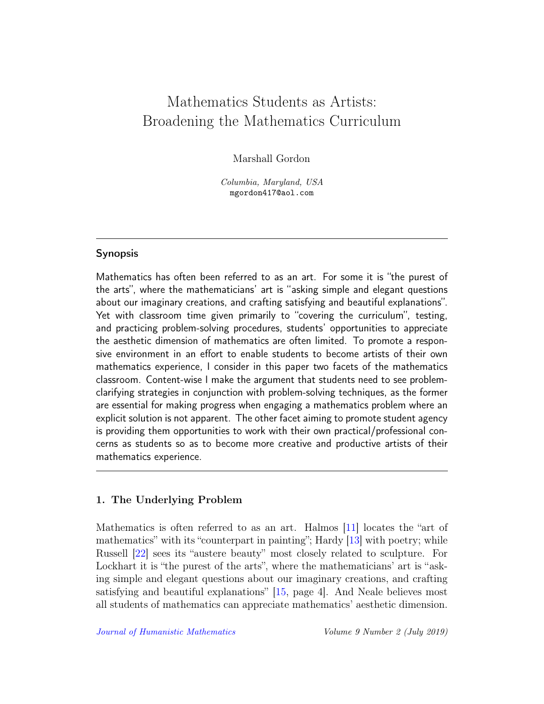## Mathematics Students as Artists: Broadening the Mathematics Curriculum

Marshall Gordon

Columbia, Maryland, USA mgordon417@aol.com

## **Synopsis**

Mathematics has often been referred to as an art. For some it is "the purest of the arts", where the mathematicians' art is "asking simple and elegant questions about our imaginary creations, and crafting satisfying and beautiful explanations". Yet with classroom time given primarily to "covering the curriculum", testing, and practicing problem-solving procedures, students' opportunities to appreciate the aesthetic dimension of mathematics are often limited. To promote a responsive environment in an effort to enable students to become artists of their own mathematics experience, I consider in this paper two facets of the mathematics classroom. Content-wise I make the argument that students need to see problemclarifying strategies in conjunction with problem-solving techniques, as the former are essential for making progress when engaging a mathematics problem where an explicit solution is not apparent. The other facet aiming to promote student agency is providing them opportunities to work with their own practical/professional concerns as students so as to become more creative and productive artists of their mathematics experience.

## 1. The Underlying Problem

Mathematics is often referred to as an art. Halmos [\[11\]](#page-17-0) locates the "art of mathematics" with its "counterpart in painting"; Hardy [\[13\]](#page-17-1) with poetry; while Russell [\[22\]](#page-18-0) sees its "austere beauty" most closely related to sculpture. For Lockhart it is "the purest of the arts", where the mathematicians' art is "asking simple and elegant questions about our imaginary creations, and crafting satisfying and beautiful explanations" [\[15,](#page-18-1) page 4]. And Neale believes most all students of mathematics can appreciate mathematics' aesthetic dimension.

[Journal of Humanistic Mathematics](http://scholarship.claremont.edu/jhm/) Volume 9 Number 2 (July 2019)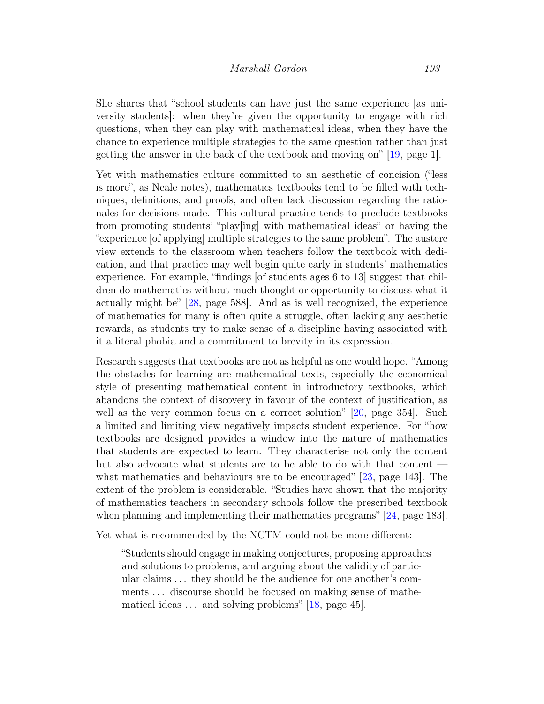She shares that "school students can have just the same experience [as university students]: when they're given the opportunity to engage with rich questions, when they can play with mathematical ideas, when they have the chance to experience multiple strategies to the same question rather than just getting the answer in the back of the textbook and moving on" [\[19,](#page-18-2) page 1].

Yet with mathematics culture committed to an aesthetic of concision ("less is more", as Neale notes), mathematics textbooks tend to be filled with techniques, definitions, and proofs, and often lack discussion regarding the rationales for decisions made. This cultural practice tends to preclude textbooks from promoting students' "play[ing] with mathematical ideas" or having the "experience [of applying] multiple strategies to the same problem". The austere view extends to the classroom when teachers follow the textbook with dedication, and that practice may well begin quite early in students' mathematics experience. For example, "findings [of students ages 6 to 13] suggest that children do mathematics without much thought or opportunity to discuss what it actually might be" [\[28,](#page-19-0) page 588]. And as is well recognized, the experience of mathematics for many is often quite a struggle, often lacking any aesthetic rewards, as students try to make sense of a discipline having associated with it a literal phobia and a commitment to brevity in its expression.

Research suggests that textbooks are not as helpful as one would hope. "Among the obstacles for learning are mathematical texts, especially the economical style of presenting mathematical content in introductory textbooks, which abandons the context of discovery in favour of the context of justification, as well as the very common focus on a correct solution" [\[20,](#page-18-3) page 354]. Such a limited and limiting view negatively impacts student experience. For "how textbooks are designed provides a window into the nature of mathematics that students are expected to learn. They characterise not only the content but also advocate what students are to be able to do with that content what mathematics and behaviours are to be encouraged" [\[23,](#page-18-4) page 143]. The extent of the problem is considerable. "Studies have shown that the majority of mathematics teachers in secondary schools follow the prescribed textbook when planning and implementing their mathematics programs" [\[24,](#page-18-5) page 183].

Yet what is recommended by the NCTM could not be more different:

"Students should engage in making conjectures, proposing approaches and solutions to problems, and arguing about the validity of particular claims . . . they should be the audience for one another's comments . . . discourse should be focused on making sense of mathematical ideas  $\dots$  and solving problems" [\[18,](#page-18-6) page 45].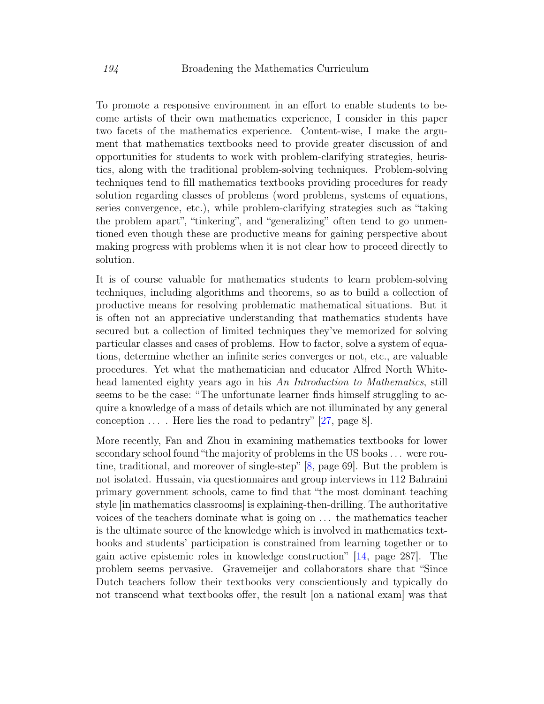To promote a responsive environment in an effort to enable students to become artists of their own mathematics experience, I consider in this paper two facets of the mathematics experience. Content-wise, I make the argument that mathematics textbooks need to provide greater discussion of and opportunities for students to work with problem-clarifying strategies, heuristics, along with the traditional problem-solving techniques. Problem-solving techniques tend to fill mathematics textbooks providing procedures for ready solution regarding classes of problems (word problems, systems of equations, series convergence, etc.), while problem-clarifying strategies such as "taking the problem apart", "tinkering", and "generalizing" often tend to go unmentioned even though these are productive means for gaining perspective about making progress with problems when it is not clear how to proceed directly to solution.

It is of course valuable for mathematics students to learn problem-solving techniques, including algorithms and theorems, so as to build a collection of productive means for resolving problematic mathematical situations. But it is often not an appreciative understanding that mathematics students have secured but a collection of limited techniques they've memorized for solving particular classes and cases of problems. How to factor, solve a system of equations, determine whether an infinite series converges or not, etc., are valuable procedures. Yet what the mathematician and educator Alfred North Whitehead lamented eighty years ago in his An Introduction to Mathematics, still seems to be the case: "The unfortunate learner finds himself struggling to acquire a knowledge of a mass of details which are not illuminated by any general conception  $\ldots$ . Here lies the road to pedantry" [\[27,](#page-19-1) page 8].

More recently, Fan and Zhou in examining mathematics textbooks for lower secondary school found "the majority of problems in the US books . . . were routine, traditional, and moreover of single-step" [\[8,](#page-17-2) page 69]. But the problem is not isolated. Hussain, via questionnaires and group interviews in 112 Bahraini primary government schools, came to find that "the most dominant teaching style [in mathematics classrooms] is explaining-then-drilling. The authoritative voices of the teachers dominate what is going on . . . the mathematics teacher is the ultimate source of the knowledge which is involved in mathematics textbooks and students' participation is constrained from learning together or to gain active epistemic roles in knowledge construction" [\[14,](#page-18-7) page 287]. The problem seems pervasive. Gravemeijer and collaborators share that "Since Dutch teachers follow their textbooks very conscientiously and typically do not transcend what textbooks offer, the result [on a national exam] was that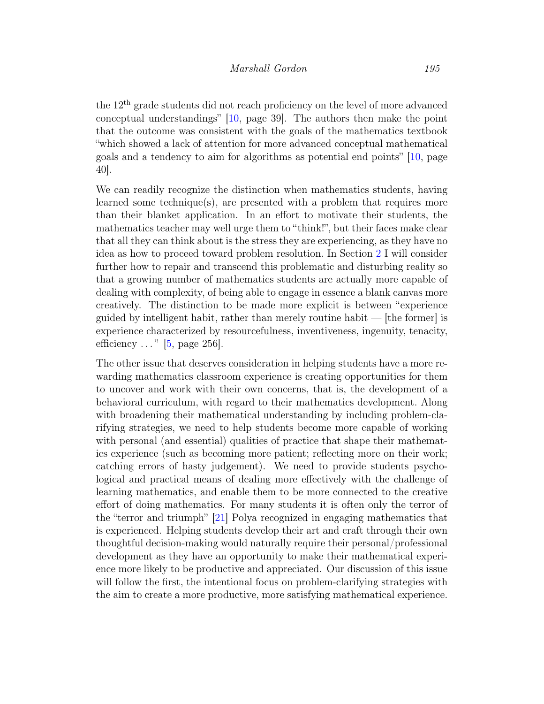the 12th grade students did not reach proficiency on the level of more advanced conceptual understandings" [\[10,](#page-17-3) page 39]. The authors then make the point that the outcome was consistent with the goals of the mathematics textbook "which showed a lack of attention for more advanced conceptual mathematical goals and a tendency to aim for algorithms as potential end points" [\[10,](#page-17-3) page 40].

We can readily recognize the distinction when mathematics students, having learned some technique(s), are presented with a problem that requires more than their blanket application. In an effort to motivate their students, the mathematics teacher may well urge them to "think!", but their faces make clear that all they can think about is the stress they are experiencing, as they have no idea as how to proceed toward problem resolution. In Section [2](#page-4-0) I will consider further how to repair and transcend this problematic and disturbing reality so that a growing number of mathematics students are actually more capable of dealing with complexity, of being able to engage in essence a blank canvas more creatively. The distinction to be made more explicit is between "experience guided by intelligent habit, rather than merely routine habit — [the former] is experience characterized by resourcefulness, inventiveness, ingenuity, tenacity, efficiency  $\ldots$ " [\[5,](#page-17-4) page 256].

<span id="page-4-0"></span>The other issue that deserves consideration in helping students have a more rewarding mathematics classroom experience is creating opportunities for them to uncover and work with their own concerns, that is, the development of a behavioral curriculum, with regard to their mathematics development. Along with broadening their mathematical understanding by including problem-clarifying strategies, we need to help students become more capable of working with personal (and essential) qualities of practice that shape their mathematics experience (such as becoming more patient; reflecting more on their work; catching errors of hasty judgement). We need to provide students psychological and practical means of dealing more effectively with the challenge of learning mathematics, and enable them to be more connected to the creative effort of doing mathematics. For many students it is often only the terror of the "terror and triumph" [\[21\]](#page-18-8) Polya recognized in engaging mathematics that is experienced. Helping students develop their art and craft through their own thoughtful decision-making would naturally require their personal/professional development as they have an opportunity to make their mathematical experience more likely to be productive and appreciated. Our discussion of this issue will follow the first, the intentional focus on problem-clarifying strategies with the aim to create a more productive, more satisfying mathematical experience.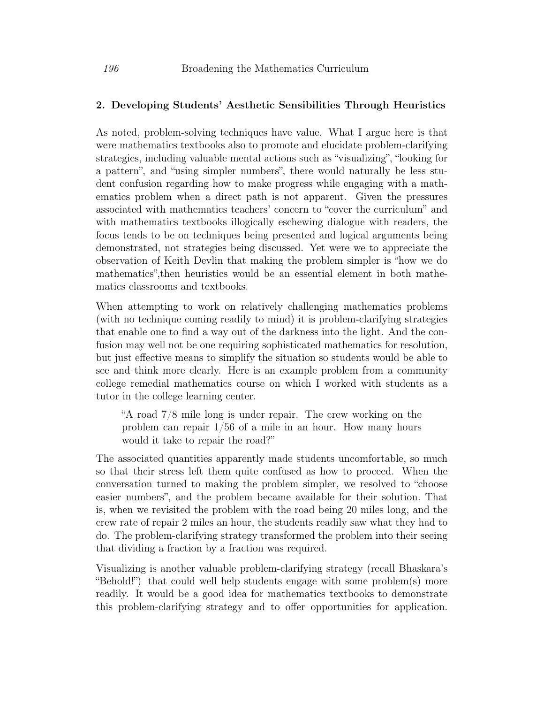## 2. Developing Students' Aesthetic Sensibilities Through Heuristics

As noted, problem-solving techniques have value. What I argue here is that were mathematics textbooks also to promote and elucidate problem-clarifying strategies, including valuable mental actions such as "visualizing", "looking for a pattern", and "using simpler numbers", there would naturally be less student confusion regarding how to make progress while engaging with a mathematics problem when a direct path is not apparent. Given the pressures associated with mathematics teachers' concern to "cover the curriculum" and with mathematics textbooks illogically eschewing dialogue with readers, the focus tends to be on techniques being presented and logical arguments being demonstrated, not strategies being discussed. Yet were we to appreciate the observation of Keith Devlin that making the problem simpler is "how we do mathematics",then heuristics would be an essential element in both mathematics classrooms and textbooks.

When attempting to work on relatively challenging mathematics problems (with no technique coming readily to mind) it is problem-clarifying strategies that enable one to find a way out of the darkness into the light. And the confusion may well not be one requiring sophisticated mathematics for resolution, but just effective means to simplify the situation so students would be able to see and think more clearly. Here is an example problem from a community college remedial mathematics course on which I worked with students as a tutor in the college learning center.

"A road 7/8 mile long is under repair. The crew working on the problem can repair 1/56 of a mile in an hour. How many hours would it take to repair the road?"

The associated quantities apparently made students uncomfortable, so much so that their stress left them quite confused as how to proceed. When the conversation turned to making the problem simpler, we resolved to "choose easier numbers", and the problem became available for their solution. That is, when we revisited the problem with the road being 20 miles long, and the crew rate of repair 2 miles an hour, the students readily saw what they had to do. The problem-clarifying strategy transformed the problem into their seeing that dividing a fraction by a fraction was required.

Visualizing is another valuable problem-clarifying strategy (recall Bhaskara's "Behold!") that could well help students engage with some problem(s) more readily. It would be a good idea for mathematics textbooks to demonstrate this problem-clarifying strategy and to offer opportunities for application.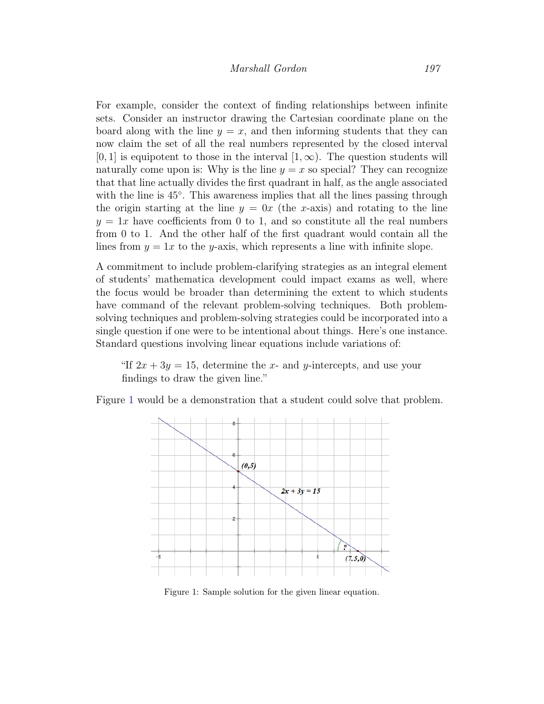For example, consider the context of finding relationships between infinite sets. Consider an instructor drawing the Cartesian coordinate plane on the board along with the line  $y = x$ , and then informing students that they can now claim the set of all the real numbers represented by the closed interval  $[0, 1]$  is equipotent to those in the interval  $[1, \infty)$ . The question students will naturally come upon is: Why is the line  $y = x$  so special? They can recognize that that line actually divides the first quadrant in half, as the angle associated with the line is  $45^\circ$ . This awareness implies that all the lines passing through the origin starting at the line  $y = 0x$  (the x-axis) and rotating to the line  $y = 1x$  have coefficients from 0 to 1, and so constitute all the real numbers from 0 to 1. And the other half of the first quadrant would contain all the lines from  $y = 1x$  to the y-axis, which represents a line with infinite slope.

A commitment to include problem-clarifying strategies as an integral element of students' mathematica development could impact exams as well, where the focus would be broader than determining the extent to which students have command of the relevant problem-solving techniques. Both problemsolving techniques and problem-solving strategies could be incorporated into a single question if one were to be intentional about things. Here's one instance. Standard questions involving linear equations include variations of:

"If  $2x + 3y = 15$ , determine the x- and y-intercepts, and use your findings to draw the given line."

Figure [1](#page-6-0) would be a demonstration that a student could solve that problem.



<span id="page-6-0"></span>Figure 1: Sample solution for the given linear equation.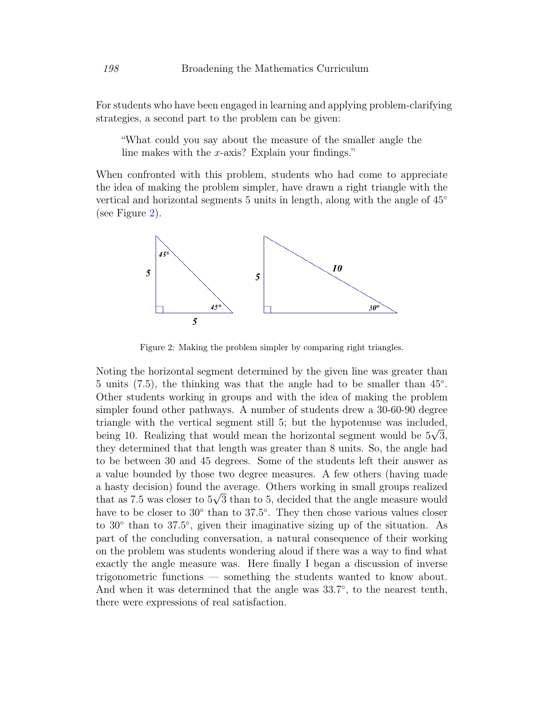For students who have been engaged in learning and applying problem-clarifying strategies, a second part to the problem can be given:

"What could you say about the measure of the smaller angle the line makes with the x-axis? Explain your findings."

When confronted with this problem, students who had come to appreciate the idea of making the problem simpler, have drawn a right triangle with the vertical and horizontal segments 5 units in length, along with the angle of 45◦ (see Figure [2\)](#page-7-0).



<span id="page-7-0"></span>Figure 2: Making the problem simpler by comparing right triangles.

Noting the horizontal segment determined by the given line was greater than 5 units (7.5), the thinking was that the angle had to be smaller than  $45^{\circ}$ . Other students working in groups and with the idea of making the problem simpler found other pathways. A number of students drew a 30-60-90 degree triangle with the vertical segment still 5; but the hypotenuse was included, being 10. Realizing that would mean the horizontal segment would be  $5\sqrt{3}$ , they determined that that length was greater than 8 units. So, the angle had to be between 30 and 45 degrees. Some of the students left their answer as a value bounded by those two degree measures. A few others (having made a hasty decision) found the average. Others working in small groups realized √ that as 7.5 was closer to  $5\sqrt{3}$  than to 5, decided that the angle measure would have to be closer to 30<sup>°</sup> than to 37.5<sup>°</sup>. They then chose various values closer to 30<sup>°</sup> than to 37.5<sup>°</sup>, given their imaginative sizing up of the situation. As part of the concluding conversation, a natural consequence of their working on the problem was students wondering aloud if there was a way to find what exactly the angle measure was. Here finally I began a discussion of inverse trigonometric functions — something the students wanted to know about. And when it was determined that the angle was  $33.7^{\circ}$ , to the nearest tenth, there were expressions of real satisfaction.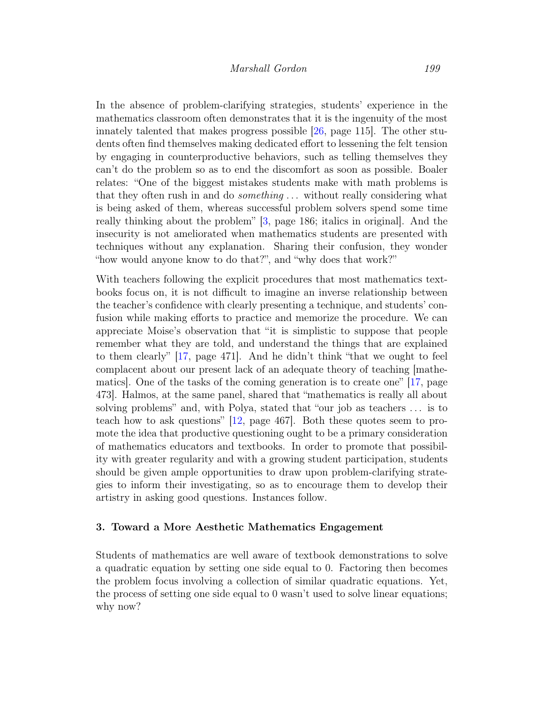In the absence of problem-clarifying strategies, students' experience in the mathematics classroom often demonstrates that it is the ingenuity of the most innately talented that makes progress possible [\[26,](#page-19-2) page 115]. The other students often find themselves making dedicated effort to lessening the felt tension by engaging in counterproductive behaviors, such as telling themselves they can't do the problem so as to end the discomfort as soon as possible. Boaler relates: "One of the biggest mistakes students make with math problems is that they often rush in and do *something* ... without really considering what is being asked of them, whereas successful problem solvers spend some time really thinking about the problem" [\[3,](#page-17-5) page 186; italics in original]. And the insecurity is not ameliorated when mathematics students are presented with techniques without any explanation. Sharing their confusion, they wonder "how would anyone know to do that?", and "why does that work?"

With teachers following the explicit procedures that most mathematics textbooks focus on, it is not difficult to imagine an inverse relationship between the teacher's confidence with clearly presenting a technique, and students' confusion while making efforts to practice and memorize the procedure. We can appreciate Moise's observation that "it is simplistic to suppose that people remember what they are told, and understand the things that are explained to them clearly" [\[17,](#page-18-9) page 471]. And he didn't think "that we ought to feel complacent about our present lack of an adequate theory of teaching [mathematics]. One of the tasks of the coming generation is to create one" [\[17,](#page-18-9) page 473]. Halmos, at the same panel, shared that "mathematics is really all about solving problems" and, with Polya, stated that "our job as teachers . . . is to teach how to ask questions" [\[12,](#page-17-6) page 467]. Both these quotes seem to promote the idea that productive questioning ought to be a primary consideration of mathematics educators and textbooks. In order to promote that possibility with greater regularity and with a growing student participation, students should be given ample opportunities to draw upon problem-clarifying strategies to inform their investigating, so as to encourage them to develop their artistry in asking good questions. Instances follow.

### 3. Toward a More Aesthetic Mathematics Engagement

Students of mathematics are well aware of textbook demonstrations to solve a quadratic equation by setting one side equal to 0. Factoring then becomes the problem focus involving a collection of similar quadratic equations. Yet, the process of setting one side equal to 0 wasn't used to solve linear equations; why now?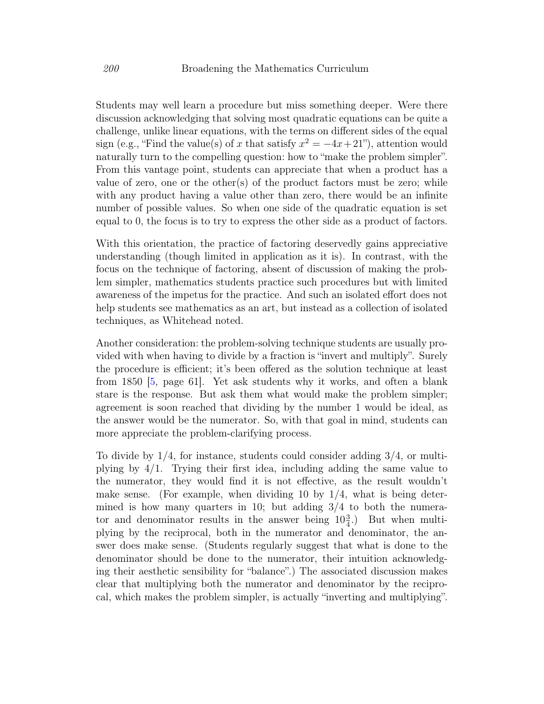Students may well learn a procedure but miss something deeper. Were there discussion acknowledging that solving most quadratic equations can be quite a challenge, unlike linear equations, with the terms on different sides of the equal sign (e.g., "Find the value(s) of x that satisfy  $x^2 = -4x+21$ "), attention would naturally turn to the compelling question: how to "make the problem simpler". From this vantage point, students can appreciate that when a product has a value of zero, one or the other(s) of the product factors must be zero; while with any product having a value other than zero, there would be an infinite number of possible values. So when one side of the quadratic equation is set equal to 0, the focus is to try to express the other side as a product of factors.

With this orientation, the practice of factoring deservedly gains appreciative understanding (though limited in application as it is). In contrast, with the focus on the technique of factoring, absent of discussion of making the problem simpler, mathematics students practice such procedures but with limited awareness of the impetus for the practice. And such an isolated effort does not help students see mathematics as an art, but instead as a collection of isolated techniques, as Whitehead noted.

Another consideration: the problem-solving technique students are usually provided with when having to divide by a fraction is "invert and multiply". Surely the procedure is efficient; it's been offered as the solution technique at least from 1850 [\[5,](#page-17-4) page 61]. Yet ask students why it works, and often a blank stare is the response. But ask them what would make the problem simpler; agreement is soon reached that dividing by the number 1 would be ideal, as the answer would be the numerator. So, with that goal in mind, students can more appreciate the problem-clarifying process.

To divide by  $1/4$ , for instance, students could consider adding  $3/4$ , or multiplying by  $4/1$ . Trying their first idea, including adding the same value to the numerator, they would find it is not effective, as the result wouldn't make sense. (For example, when dividing 10 by  $1/4$ , what is being determined is how many quarters in 10; but adding  $3/4$  to both the numerator and denominator results in the answer being  $10\frac{3}{4}$ .) But when multiplying by the reciprocal, both in the numerator and denominator, the answer does make sense. (Students regularly suggest that what is done to the denominator should be done to the numerator, their intuition acknowledging their aesthetic sensibility for "balance".) The associated discussion makes clear that multiplying both the numerator and denominator by the reciprocal, which makes the problem simpler, is actually "inverting and multiplying".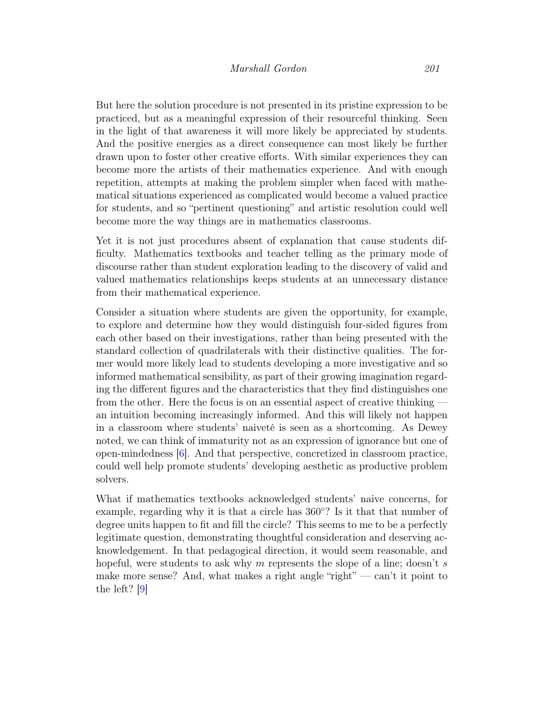But here the solution procedure is not presented in its pristine expression to be practiced, but as a meaningful expression of their resourceful thinking. Seen in the light of that awareness it will more likely be appreciated by students. And the positive energies as a direct consequence can most likely be further drawn upon to foster other creative efforts. With similar experiences they can become more the artists of their mathematics experience. And with enough repetition, attempts at making the problem simpler when faced with mathematical situations experienced as complicated would become a valued practice for students, and so "pertinent questioning" and artistic resolution could well become more the way things are in mathematics classrooms.

Yet it is not just procedures absent of explanation that cause students difficulty. Mathematics textbooks and teacher telling as the primary mode of discourse rather than student exploration leading to the discovery of valid and valued mathematics relationships keeps students at an unnecessary distance from their mathematical experience.

Consider a situation where students are given the opportunity, for example, to explore and determine how they would distinguish four-sided figures from each other based on their investigations, rather than being presented with the standard collection of quadrilaterals with their distinctive qualities. The former would more likely lead to students developing a more investigative and so informed mathematical sensibility, as part of their growing imagination regarding the different figures and the characteristics that they find distinguishes one from the other. Here the focus is on an essential aspect of creative thinking an intuition becoming increasingly informed. And this will likely not happen in a classroom where students' naiveté is seen as a shortcoming. As Dewey noted, we can think of immaturity not as an expression of ignorance but one of open-mindedness [\[6\]](#page-17-7). And that perspective, concretized in classroom practice, could well help promote students' developing aesthetic as productive problem solvers.

What if mathematics textbooks acknowledged students' naive concerns, for example, regarding why it is that a circle has 360◦ ? Is it that that number of degree units happen to fit and fill the circle? This seems to me to be a perfectly legitimate question, demonstrating thoughtful consideration and deserving acknowledgement. In that pedagogical direction, it would seem reasonable, and hopeful, were students to ask why m represents the slope of a line; doesn't s make more sense? And, what makes a right angle "right" — can't it point to the left? [\[9\]](#page-17-8)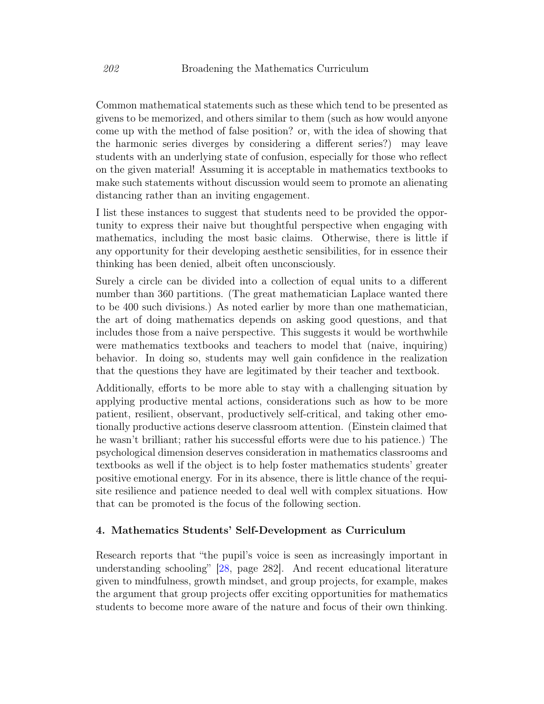Common mathematical statements such as these which tend to be presented as givens to be memorized, and others similar to them (such as how would anyone come up with the method of false position? or, with the idea of showing that the harmonic series diverges by considering a different series?) may leave students with an underlying state of confusion, especially for those who reflect on the given material! Assuming it is acceptable in mathematics textbooks to make such statements without discussion would seem to promote an alienating distancing rather than an inviting engagement.

I list these instances to suggest that students need to be provided the opportunity to express their naive but thoughtful perspective when engaging with mathematics, including the most basic claims. Otherwise, there is little if any opportunity for their developing aesthetic sensibilities, for in essence their thinking has been denied, albeit often unconsciously.

Surely a circle can be divided into a collection of equal units to a different number than 360 partitions. (The great mathematician Laplace wanted there to be 400 such divisions.) As noted earlier by more than one mathematician, the art of doing mathematics depends on asking good questions, and that includes those from a naive perspective. This suggests it would be worthwhile were mathematics textbooks and teachers to model that (naive, inquiring) behavior. In doing so, students may well gain confidence in the realization that the questions they have are legitimated by their teacher and textbook.

Additionally, efforts to be more able to stay with a challenging situation by applying productive mental actions, considerations such as how to be more patient, resilient, observant, productively self-critical, and taking other emotionally productive actions deserve classroom attention. (Einstein claimed that he wasn't brilliant; rather his successful efforts were due to his patience.) The psychological dimension deserves consideration in mathematics classrooms and textbooks as well if the object is to help foster mathematics students' greater positive emotional energy. For in its absence, there is little chance of the requisite resilience and patience needed to deal well with complex situations. How that can be promoted is the focus of the following section.

## 4. Mathematics Students' Self-Development as Curriculum

Research reports that "the pupil's voice is seen as increasingly important in understanding schooling" [\[28,](#page-19-0) page 282]. And recent educational literature given to mindfulness, growth mindset, and group projects, for example, makes the argument that group projects offer exciting opportunities for mathematics students to become more aware of the nature and focus of their own thinking.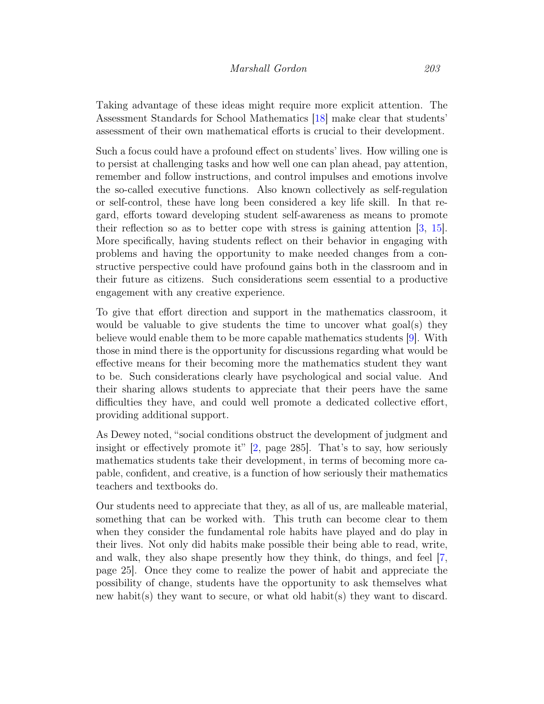Taking advantage of these ideas might require more explicit attention. The Assessment Standards for School Mathematics [\[18\]](#page-18-6) make clear that students' assessment of their own mathematical efforts is crucial to their development.

Such a focus could have a profound effect on students' lives. How willing one is to persist at challenging tasks and how well one can plan ahead, pay attention, remember and follow instructions, and control impulses and emotions involve the so-called executive functions. Also known collectively as self-regulation or self-control, these have long been considered a key life skill. In that regard, efforts toward developing student self-awareness as means to promote their reflection so as to better cope with stress is gaining attention [\[3,](#page-17-5) [15\]](#page-18-1). More specifically, having students reflect on their behavior in engaging with problems and having the opportunity to make needed changes from a constructive perspective could have profound gains both in the classroom and in their future as citizens. Such considerations seem essential to a productive engagement with any creative experience.

To give that effort direction and support in the mathematics classroom, it would be valuable to give students the time to uncover what goal(s) they believe would enable them to be more capable mathematics students [\[9\]](#page-17-8). With those in mind there is the opportunity for discussions regarding what would be effective means for their becoming more the mathematics student they want to be. Such considerations clearly have psychological and social value. And their sharing allows students to appreciate that their peers have the same difficulties they have, and could well promote a dedicated collective effort, providing additional support.

As Dewey noted, "social conditions obstruct the development of judgment and insight or effectively promote it" [\[2,](#page-17-9) page 285]. That's to say, how seriously mathematics students take their development, in terms of becoming more capable, confident, and creative, is a function of how seriously their mathematics teachers and textbooks do.

Our students need to appreciate that they, as all of us, are malleable material, something that can be worked with. This truth can become clear to them when they consider the fundamental role habits have played and do play in their lives. Not only did habits make possible their being able to read, write, and walk, they also shape presently how they think, do things, and feel [\[7,](#page-17-10) page 25]. Once they come to realize the power of habit and appreciate the possibility of change, students have the opportunity to ask themselves what new habit(s) they want to secure, or what old habit(s) they want to discard.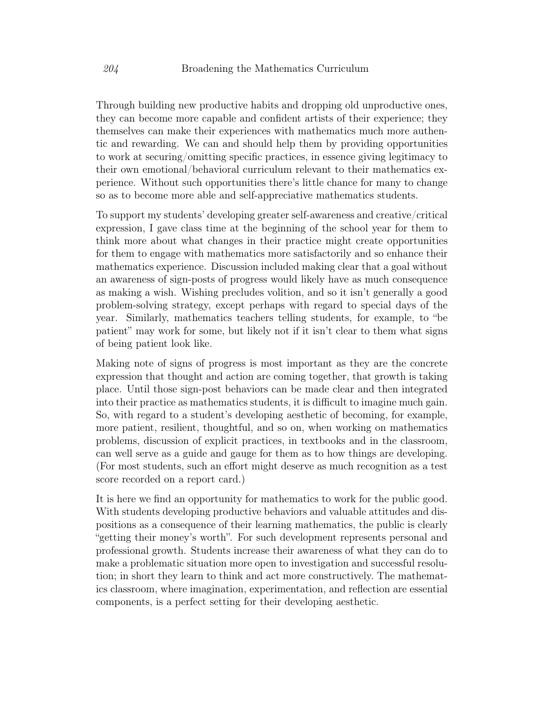Through building new productive habits and dropping old unproductive ones, they can become more capable and confident artists of their experience; they themselves can make their experiences with mathematics much more authentic and rewarding. We can and should help them by providing opportunities to work at securing/omitting specific practices, in essence giving legitimacy to their own emotional/behavioral curriculum relevant to their mathematics experience. Without such opportunities there's little chance for many to change so as to become more able and self-appreciative mathematics students.

To support my students' developing greater self-awareness and creative/critical expression, I gave class time at the beginning of the school year for them to think more about what changes in their practice might create opportunities for them to engage with mathematics more satisfactorily and so enhance their mathematics experience. Discussion included making clear that a goal without an awareness of sign-posts of progress would likely have as much consequence as making a wish. Wishing precludes volition, and so it isn't generally a good problem-solving strategy, except perhaps with regard to special days of the year. Similarly, mathematics teachers telling students, for example, to "be patient" may work for some, but likely not if it isn't clear to them what signs of being patient look like.

Making note of signs of progress is most important as they are the concrete expression that thought and action are coming together, that growth is taking place. Until those sign-post behaviors can be made clear and then integrated into their practice as mathematics students, it is difficult to imagine much gain. So, with regard to a student's developing aesthetic of becoming, for example, more patient, resilient, thoughtful, and so on, when working on mathematics problems, discussion of explicit practices, in textbooks and in the classroom, can well serve as a guide and gauge for them as to how things are developing. (For most students, such an effort might deserve as much recognition as a test score recorded on a report card.)

It is here we find an opportunity for mathematics to work for the public good. With students developing productive behaviors and valuable attitudes and dispositions as a consequence of their learning mathematics, the public is clearly "getting their money's worth". For such development represents personal and professional growth. Students increase their awareness of what they can do to make a problematic situation more open to investigation and successful resolution; in short they learn to think and act more constructively. The mathematics classroom, where imagination, experimentation, and reflection are essential components, is a perfect setting for their developing aesthetic.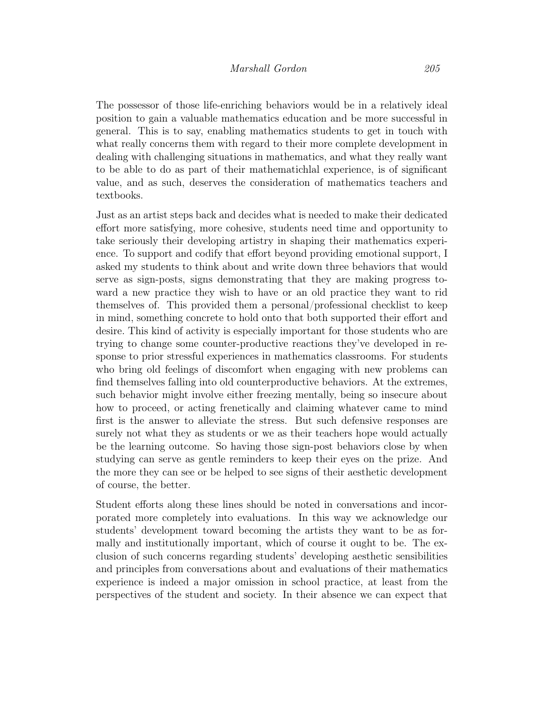The possessor of those life-enriching behaviors would be in a relatively ideal position to gain a valuable mathematics education and be more successful in general. This is to say, enabling mathematics students to get in touch with what really concerns them with regard to their more complete development in dealing with challenging situations in mathematics, and what they really want to be able to do as part of their mathematichlal experience, is of significant value, and as such, deserves the consideration of mathematics teachers and textbooks.

Just as an artist steps back and decides what is needed to make their dedicated effort more satisfying, more cohesive, students need time and opportunity to take seriously their developing artistry in shaping their mathematics experience. To support and codify that effort beyond providing emotional support, I asked my students to think about and write down three behaviors that would serve as sign-posts, signs demonstrating that they are making progress toward a new practice they wish to have or an old practice they want to rid themselves of. This provided them a personal/professional checklist to keep in mind, something concrete to hold onto that both supported their effort and desire. This kind of activity is especially important for those students who are trying to change some counter-productive reactions they've developed in response to prior stressful experiences in mathematics classrooms. For students who bring old feelings of discomfort when engaging with new problems can find themselves falling into old counterproductive behaviors. At the extremes, such behavior might involve either freezing mentally, being so insecure about how to proceed, or acting frenetically and claiming whatever came to mind first is the answer to alleviate the stress. But such defensive responses are surely not what they as students or we as their teachers hope would actually be the learning outcome. So having those sign-post behaviors close by when studying can serve as gentle reminders to keep their eyes on the prize. And the more they can see or be helped to see signs of their aesthetic development of course, the better.

Student efforts along these lines should be noted in conversations and incorporated more completely into evaluations. In this way we acknowledge our students' development toward becoming the artists they want to be as formally and institutionally important, which of course it ought to be. The exclusion of such concerns regarding students' developing aesthetic sensibilities and principles from conversations about and evaluations of their mathematics experience is indeed a major omission in school practice, at least from the perspectives of the student and society. In their absence we can expect that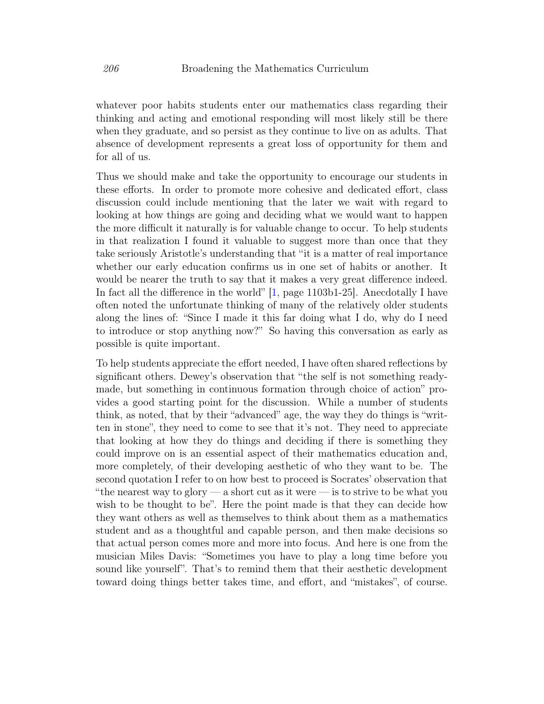whatever poor habits students enter our mathematics class regarding their thinking and acting and emotional responding will most likely still be there when they graduate, and so persist as they continue to live on as adults. That absence of development represents a great loss of opportunity for them and for all of us.

Thus we should make and take the opportunity to encourage our students in these efforts. In order to promote more cohesive and dedicated effort, class discussion could include mentioning that the later we wait with regard to looking at how things are going and deciding what we would want to happen the more difficult it naturally is for valuable change to occur. To help students in that realization I found it valuable to suggest more than once that they take seriously Aristotle's understanding that "it is a matter of real importance whether our early education confirms us in one set of habits or another. It would be nearer the truth to say that it makes a very great difference indeed. In fact all the difference in the world" [\[1,](#page-17-11) page 1103b1-25]. Anecdotally I have often noted the unfortunate thinking of many of the relatively older students along the lines of: "Since I made it this far doing what I do, why do I need to introduce or stop anything now?" So having this conversation as early as possible is quite important.

To help students appreciate the effort needed, I have often shared reflections by significant others. Dewey's observation that "the self is not something readymade, but something in continuous formation through choice of action" provides a good starting point for the discussion. While a number of students think, as noted, that by their "advanced" age, the way they do things is "written in stone", they need to come to see that it's not. They need to appreciate that looking at how they do things and deciding if there is something they could improve on is an essential aspect of their mathematics education and, more completely, of their developing aesthetic of who they want to be. The second quotation I refer to on how best to proceed is Socrates' observation that "the nearest way to glory — a short cut as it were — is to strive to be what you wish to be thought to be". Here the point made is that they can decide how they want others as well as themselves to think about them as a mathematics student and as a thoughtful and capable person, and then make decisions so that actual person comes more and more into focus. And here is one from the musician Miles Davis: "Sometimes you have to play a long time before you sound like yourself". That's to remind them that their aesthetic development toward doing things better takes time, and effort, and "mistakes", of course.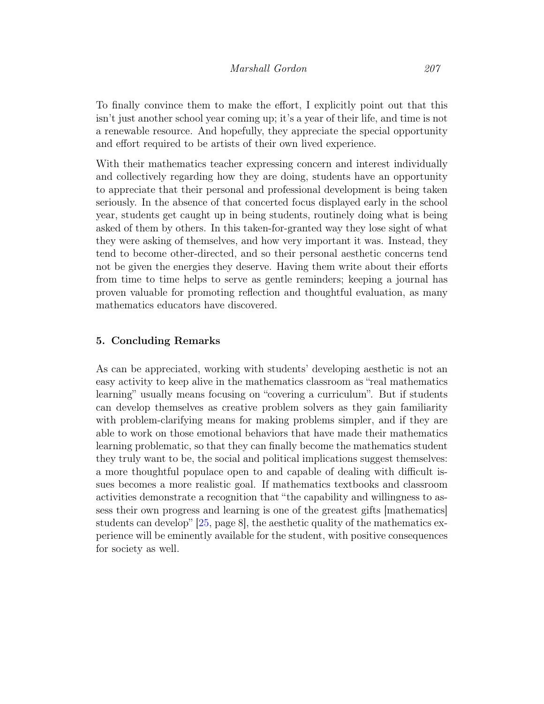To finally convince them to make the effort, I explicitly point out that this isn't just another school year coming up; it's a year of their life, and time is not a renewable resource. And hopefully, they appreciate the special opportunity and effort required to be artists of their own lived experience.

With their mathematics teacher expressing concern and interest individually and collectively regarding how they are doing, students have an opportunity to appreciate that their personal and professional development is being taken seriously. In the absence of that concerted focus displayed early in the school year, students get caught up in being students, routinely doing what is being asked of them by others. In this taken-for-granted way they lose sight of what they were asking of themselves, and how very important it was. Instead, they tend to become other-directed, and so their personal aesthetic concerns tend not be given the energies they deserve. Having them write about their efforts from time to time helps to serve as gentle reminders; keeping a journal has proven valuable for promoting reflection and thoughtful evaluation, as many mathematics educators have discovered.

## 5. Concluding Remarks

As can be appreciated, working with students' developing aesthetic is not an easy activity to keep alive in the mathematics classroom as "real mathematics learning" usually means focusing on "covering a curriculum". But if students can develop themselves as creative problem solvers as they gain familiarity with problem-clarifying means for making problems simpler, and if they are able to work on those emotional behaviors that have made their mathematics learning problematic, so that they can finally become the mathematics student they truly want to be, the social and political implications suggest themselves: a more thoughtful populace open to and capable of dealing with difficult issues becomes a more realistic goal. If mathematics textbooks and classroom activities demonstrate a recognition that "the capability and willingness to assess their own progress and learning is one of the greatest gifts [mathematics] students can develop"  $[25, \text{page 8}]$  $[25, \text{page 8}]$ , the aesthetic quality of the mathematics experience will be eminently available for the student, with positive consequences for society as well.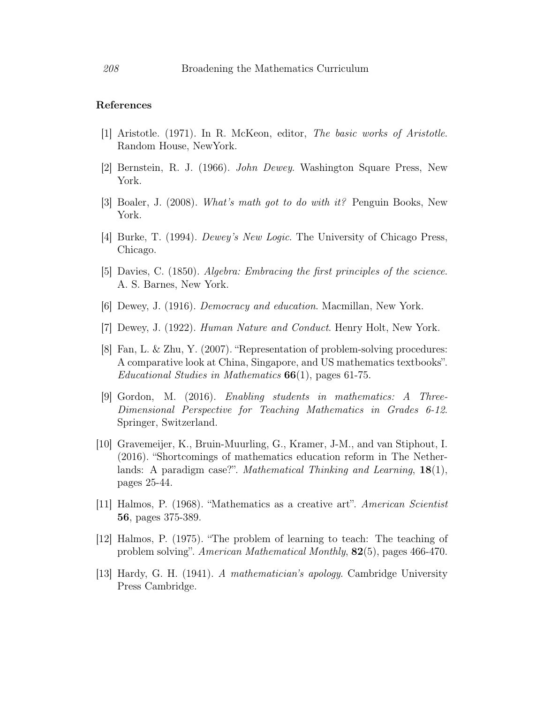### References

- <span id="page-17-11"></span>[1] Aristotle. (1971). In R. McKeon, editor, The basic works of Aristotle. Random House, NewYork.
- <span id="page-17-9"></span>[2] Bernstein, R. J. (1966). John Dewey. Washington Square Press, New York.
- <span id="page-17-5"></span>[3] Boaler, J. (2008). What's math got to do with it? Penguin Books, New York.
- [4] Burke, T. (1994). Dewey's New Logic. The University of Chicago Press, Chicago.
- <span id="page-17-4"></span>[5] Davies, C. (1850). Algebra: Embracing the first principles of the science. A. S. Barnes, New York.
- <span id="page-17-7"></span>[6] Dewey, J. (1916). Democracy and education. Macmillan, New York.
- <span id="page-17-10"></span>[7] Dewey, J. (1922). Human Nature and Conduct. Henry Holt, New York.
- <span id="page-17-2"></span>[8] Fan, L. & Zhu, Y. (2007). "Representation of problem-solving procedures: A comparative look at China, Singapore, and US mathematics textbooks". Educational Studies in Mathematics  $66(1)$ , pages 61-75.
- <span id="page-17-8"></span>[9] Gordon, M. (2016). Enabling students in mathematics: A Three-Dimensional Perspective for Teaching Mathematics in Grades 6-12. Springer, Switzerland.
- <span id="page-17-3"></span>[10] Gravemeijer, K., Bruin-Muurling, G., Kramer, J-M., and van Stiphout, I. (2016). "Shortcomings of mathematics education reform in The Netherlands: A paradigm case?". Mathematical Thinking and Learning, 18(1), pages 25-44.
- <span id="page-17-0"></span>[11] Halmos, P. (1968). "Mathematics as a creative art". American Scientist 56, pages 375-389.
- <span id="page-17-6"></span>[12] Halmos, P. (1975). "The problem of learning to teach: The teaching of problem solving". American Mathematical Monthly, 82(5), pages 466-470.
- <span id="page-17-1"></span>[13] Hardy, G. H. (1941). A mathematician's apology. Cambridge University Press Cambridge.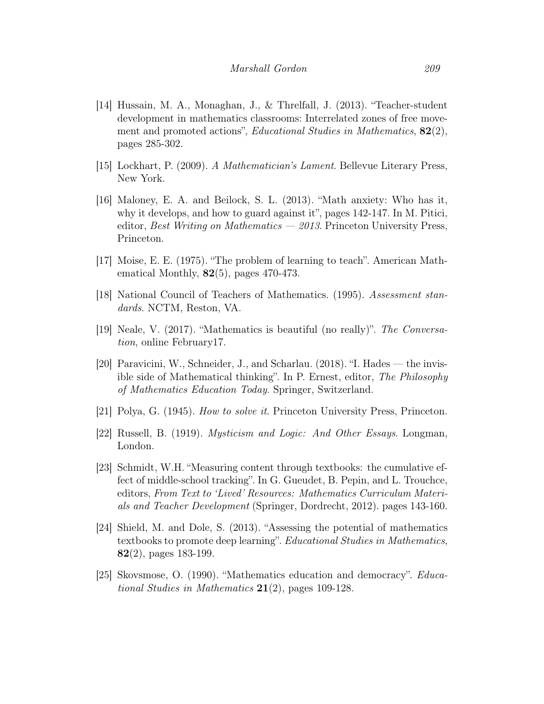- <span id="page-18-7"></span>[14] Hussain, M. A., Monaghan, J., & Threlfall, J. (2013). "Teacher-student development in mathematics classrooms: Interrelated zones of free movement and promoted actions", *Educational Studies in Mathematics*, 82(2), pages 285-302.
- <span id="page-18-1"></span>[15] Lockhart, P. (2009). A Mathematician's Lament. Bellevue Literary Press, New York.
- [16] Maloney, E. A. and Beilock, S. L. (2013). "Math anxiety: Who has it, why it develops, and how to guard against it", pages 142-147. In M. Pitici, editor, Best Writing on Mathematics  $-2013$ . Princeton University Press, Princeton.
- <span id="page-18-9"></span>[17] Moise, E. E. (1975). "The problem of learning to teach". American Mathematical Monthly, 82(5), pages 470-473.
- <span id="page-18-6"></span>[18] National Council of Teachers of Mathematics. (1995). Assessment standards. NCTM, Reston, VA.
- <span id="page-18-2"></span>[19] Neale, V. (2017). "Mathematics is beautiful (no really)". The Conversation, online February17.
- <span id="page-18-3"></span>[20] Paravicini, W., Schneider, J., and Scharlau. (2018). "I. Hades — the invisible side of Mathematical thinking". In P. Ernest, editor, The Philosophy of Mathematics Education Today. Springer, Switzerland.
- <span id="page-18-8"></span>[21] Polya, G. (1945). How to solve it. Princeton University Press, Princeton.
- <span id="page-18-0"></span>[22] Russell, B. (1919). Mysticism and Logic: And Other Essays. Longman, London.
- <span id="page-18-4"></span>[23] Schmidt, W.H. "Measuring content through textbooks: the cumulative effect of middle-school tracking". In G. Gueudet, B. Pepin, and L. Trouchce, editors, From Text to 'Lived' Resources: Mathematics Curriculum Materials and Teacher Development (Springer, Dordrecht, 2012). pages 143-160.
- <span id="page-18-5"></span>[24] Shield, M. and Dole, S. (2013). "Assessing the potential of mathematics textbooks to promote deep learning". Educational Studies in Mathematics, 82(2), pages 183-199.
- <span id="page-18-10"></span>[25] Skovsmose, O. (1990). "Mathematics education and democracy". Educational Studies in Mathematics  $21(2)$ , pages 109-128.